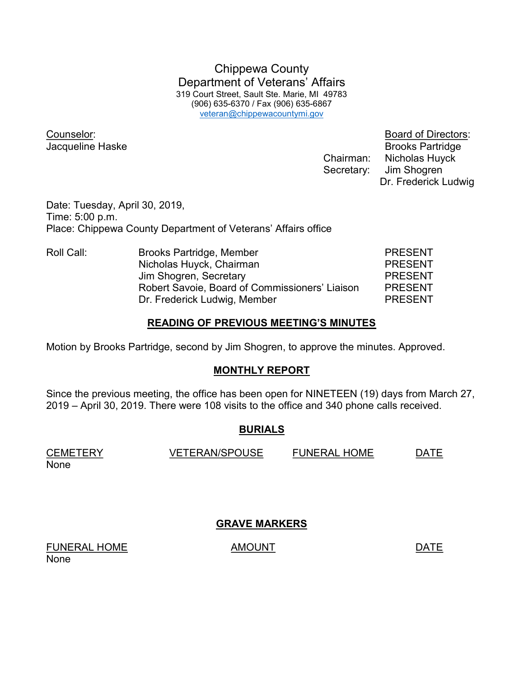Chippewa County Department of Veterans' Affairs 319 Court Street, Sault Ste. Marie, MI 49783 (906) 635-6370 / Fax (906) 635-6867 veteran@chippewacountymi.gov

Counselor: Board of Directors:

**Jacqueline Haske** Brooks Partridge Chairman: Nicholas Huyck Secretary: Jim Shogren Dr. Frederick Ludwig

Date: Tuesday, April 30, 2019, Time: 5:00 p.m. Place: Chippewa County Department of Veterans' Affairs office

| Roll Call: | Brooks Partridge, Member                       | <b>PRESENT</b> |
|------------|------------------------------------------------|----------------|
|            | Nicholas Huyck, Chairman                       | <b>PRESENT</b> |
|            | Jim Shogren, Secretary                         | <b>PRESENT</b> |
|            | Robert Savoie, Board of Commissioners' Liaison | <b>PRESENT</b> |
|            | Dr. Frederick Ludwig, Member                   | <b>PRESENT</b> |

### READING OF PREVIOUS MEETING'S MINUTES

Motion by Brooks Partridge, second by Jim Shogren, to approve the minutes. Approved.

# MONTHLY REPORT

Since the previous meeting, the office has been open for NINETEEN (19) days from March 27, 2019 – April 30, 2019. There were 108 visits to the office and 340 phone calls received.

# BURIALS

CEMETERY VETERAN/SPOUSE FUNERAL HOME DATE None

GRAVE MARKERS

FUNERAL HOME AMOUNT AMOUNT None